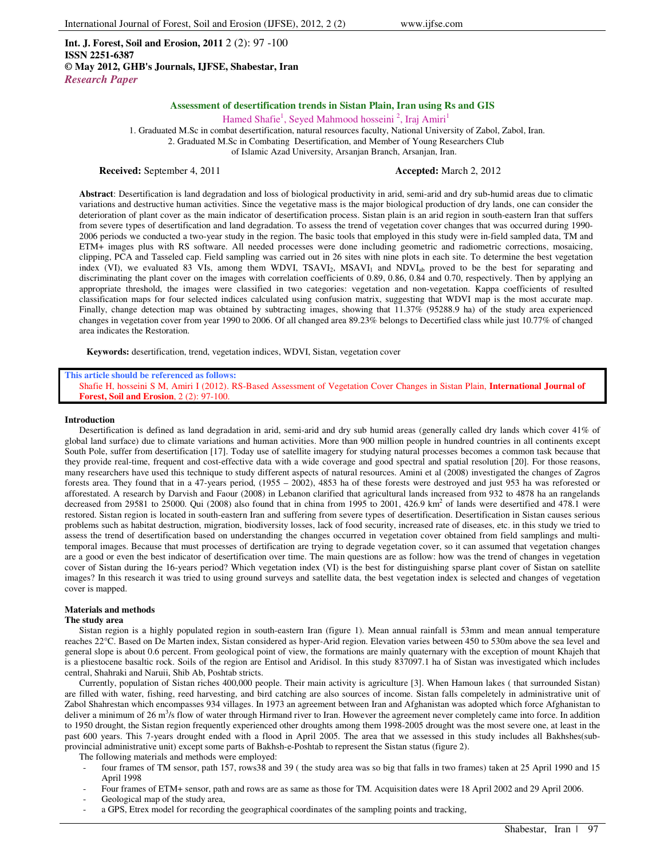**Int. J. Forest, Soil and Erosion, 2011** 2 (2): 97 -100 **ISSN 2251-6387 © May 2012, GHB's Journals, IJFSE, Shabestar, Iran** *Research Paper*

# **Assessment of desertification trends in Sistan Plain, Iran using Rs and GIS**

Hamed Shafie<sup>1</sup>, Seyed Mahmood hosseini<sup>2</sup>, Iraj Amiri<sup>1</sup>

1. Graduated M.Sc in combat desertification, natural resources faculty, National University of Zabol, Zabol, Iran.

2. Graduated M.Sc in Combating Desertification, and Member of Young Researchers Club

of Islamic Azad University, Arsanjan Branch, Arsanjan, Iran.

#### **Received:** September 4, 2011 **Accepted: March 2, 2012**

**Abstract**: Desertification is land degradation and loss of biological productivity in arid, semi-arid and dry sub-humid areas due to climatic variations and destructive human activities. Since the vegetative mass is the major biological production of dry lands, one can consider the deterioration of plant cover as the main indicator of desertification process. Sistan plain is an arid region in south-eastern Iran that suffers from severe types of desertification and land degradation. To assess the trend of vegetation cover changes that was occurred during 1990- 2006 periods we conducted a two-year study in the region. The basic tools that employed in this study were in-field sampled data, TM and ETM+ images plus with RS software. All needed processes were done including geometric and radiometric corrections, mosaicing, clipping, PCA and Tasseled cap. Field sampling was carried out in 26 sites with nine plots in each site. To determine the best vegetation index (VI), we evaluated 83 VIs, among them WDVI, TSAVI<sub>2</sub>, MSAVI<sub>1</sub> and NDVI<sub>ab</sub> proved to be the best for separating and discriminating the plant cover on the images with correlation coefficients of 0.89, 0.86, 0.84 and 0.70, respectively. Then by applying an appropriate threshold, the images were classified in two categories: vegetation and non-vegetation. Kappa coefficients of resulted classification maps for four selected indices calculated using confusion matrix, suggesting that WDVI map is the most accurate map. Finally, change detection map was obtained by subtracting images, showing that 11.37% (95288.9 ha) of the study area experienced changes in vegetation cover from year 1990 to 2006. Of all changed area 89.23% belongs to Decertified class while just 10.77% of changed area indicates the Restoration.

**Keywords:** desertification, trend, vegetation indices, WDVI, Sistan, vegetation cover

**This article should be referenced as follows:** 

Shafie H, hosseini S M, Amiri I (2012). RS-Based Assessment of Vegetation Cover Changes in Sistan Plain, **International Journal of Forest, Soil and Erosion**, 2 (2): 97-100.

#### **Introduction**

Desertification is defined as land degradation in arid, semi-arid and dry sub humid areas (generally called dry lands which cover 41% of global land surface) due to climate variations and human activities. More than 900 million people in hundred countries in all continents except South Pole, suffer from desertification [17]. Today use of satellite imagery for studying natural processes becomes a common task because that they provide real-time, frequent and cost-effective data with a wide coverage and good spectral and spatial resolution [20]. For those reasons, many researchers have used this technique to study different aspects of natural resources. Amini et al (2008) investigated the changes of Zagros forests area. They found that in a 47-years period, (1955 – 2002), 4853 ha of these forests were destroyed and just 953 ha was reforested or afforestated. A research by Darvish and Faour (2008) in Lebanon clarified that agricultural lands increased from 932 to 4878 ha an rangelands decreased from 29581 to 25000. Qui (2008) also found that in china from 1995 to 2001, 426.9 km<sup>2</sup> of lands were desertified and 478.1 were restored. Sistan region is located in south-eastern Iran and suffering from severe types of desertification. Desertification in Sistan causes serious problems such as habitat destruction, migration, biodiversity losses, lack of food security, increased rate of diseases, etc. in this study we tried to assess the trend of desertification based on understanding the changes occurred in vegetation cover obtained from field samplings and multitemporal images. Because that must processes of dertification are trying to degrade vegetation cover, so it can assumed that vegetation changes are a good or even the best indicator of desertification over time. The main questions are as follow: how was the trend of changes in vegetation cover of Sistan during the 16-years period? Which vegetation index (VI) is the best for distinguishing sparse plant cover of Sistan on satellite images? In this research it was tried to using ground surveys and satellite data, the best vegetation index is selected and changes of vegetation cover is mapped.

## **Materials and methods**

#### **The study area**

Sistan region is a highly populated region in south-eastern Iran (figure 1). Mean annual rainfall is 53mm and mean annual temperature reaches 22°C. Based on De Marten index, Sistan considered as hyper-Arid region. Elevation varies between 450 to 530m above the sea level and general slope is about 0.6 percent. From geological point of view, the formations are mainly quaternary with the exception of mount Khajeh that is a pliestocene basaltic rock. Soils of the region are Entisol and Aridisol. In this study 837097.1 ha of Sistan was investigated which includes central, Shahraki and Naruii, Shib Ab, Poshtab stricts.

Currently, population of Sistan riches 400,000 people. Their main activity is agriculture [3]. When Hamoun lakes ( that surrounded Sistan) are filled with water, fishing, reed harvesting, and bird catching are also sources of income. Sistan falls compeletely in administrative unit of Zabol Shahrestan which encompasses 934 villages. In 1973 an agreement between Iran and Afghanistan was adopted which force Afghanistan to deliver a minimum of 26 m<sup>3</sup>/s flow of water through Hirmand river to Iran. However the agreement never completely came into force. In addition to 1950 drought, the Sistan region frequently experienced other droughts among them 1998-2005 drought was the most severe one, at least in the past 600 years. This 7-years drought ended with a flood in April 2005. The area that we assessed in this study includes all Bakhshes(subprovincial administrative unit) except some parts of Bakhsh-e-Poshtab to represent the Sistan status (figure 2).

The following materials and methods were employed:

- four frames of TM sensor, path 157, rows38 and 39 ( the study area was so big that falls in two frames) taken at 25 April 1990 and 15 April 1998
- Four frames of ETM+ sensor, path and rows are as same as those for TM. Acquisition dates were 18 April 2002 and 29 April 2006.
- Geological map of the study area,
- a GPS, Etrex model for recording the geographical coordinates of the sampling points and tracking,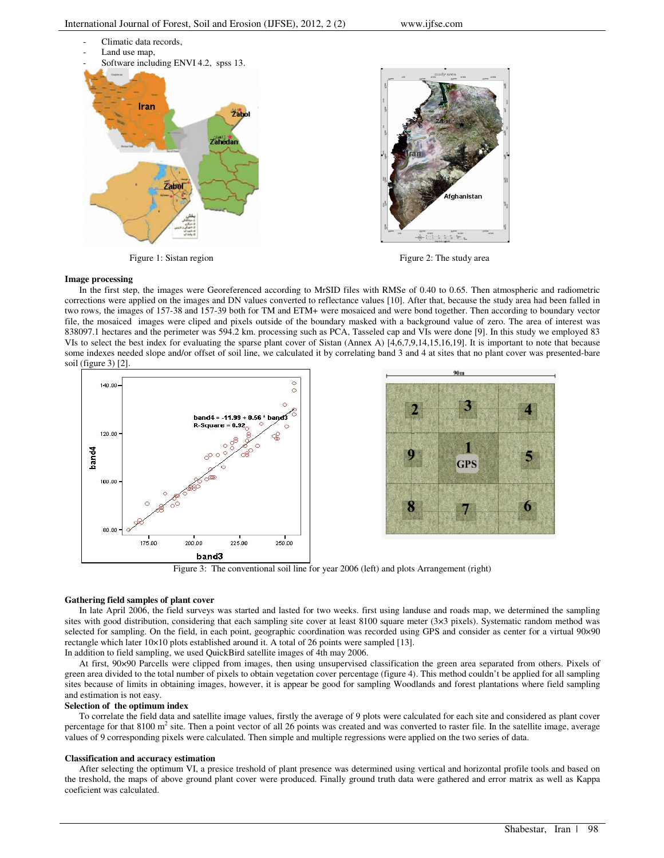

Figure 1: Sistan region Figure 2: The study area

### **Image processing**

In the first step, the images were Georeferenced according to MrSID files with RMSe of 0.40 to 0.65. Then atmospheric and radiometric corrections were applied on the images and DN values converted to reflectance values [10]. After that, because the study area had been falled in two rows, the images of 157-38 and 157-39 both for TM and ETM+ were mosaiced and were bond together. Then according to boundary vector file, the mosaiced images were cliped and pixels outside of the boundary masked with a background value of zero. The area of interest was 838097.1 hectares and the perimeter was 594.2 km. processing such as PCA, Tasseled cap and VIs were done [9]. In this study we employed 83 VIs to select the best index for evaluating the sparse plant cover of Sistan (Annex A) [4,6,7,9,14,15,16,19]. It is important to note that because some indexes needed slope and/or offset of soil line, we calculated it by correlating band 3 and 4 at sites that no plant cover was presented-bare soil (figure 3) [2].



Figure 3: The conventional soil line for year 2006 (left) and plots Arrangement (right)

# **Gathering field samples of plant cover**

In late April 2006, the field surveys was started and lasted for two weeks. first using landuse and roads map, we determined the sampling sites with good distribution, considering that each sampling site cover at least 8100 square meter (3×3 pixels). Systematic random method was selected for sampling. On the field, in each point, geographic coordination was recorded using GPS and consider as center for a virtual 90×90 rectangle which later 10×10 plots established around it. A total of 26 points were sampled [13].

In addition to field sampling, we used QuickBird satellite images of 4th may 2006.

At first, 90×90 Parcells were clipped from images, then using unsupervised classification the green area separated from others. Pixels of green area divided to the total number of pixels to obtain vegetation cover percentage (figure 4). This method couldn't be applied for all sampling sites because of limits in obtaining images, however, it is appear be good for sampling Woodlands and forest plantations where field sampling and estimation is not easy.

# **Selection of the optimum index**

To correlate the field data and satellite image values, firstly the average of 9 plots were calculated for each site and considered as plant cover percentage for that 8100 m<sup>2</sup> site. Then a point vector of all 26 points was created and was converted to raster file. In the satellite image, average values of 9 corresponding pixels were calculated. Then simple and multiple regressions were applied on the two series of data.

# **Classification and accuracy estimation**

After selecting the optimum VI, a presice treshold of plant presence was determined using vertical and horizontal profile tools and based on the treshold, the maps of above ground plant cover were produced. Finally ground truth data were gathered and error matrix as well as Kappa coeficient was calculated.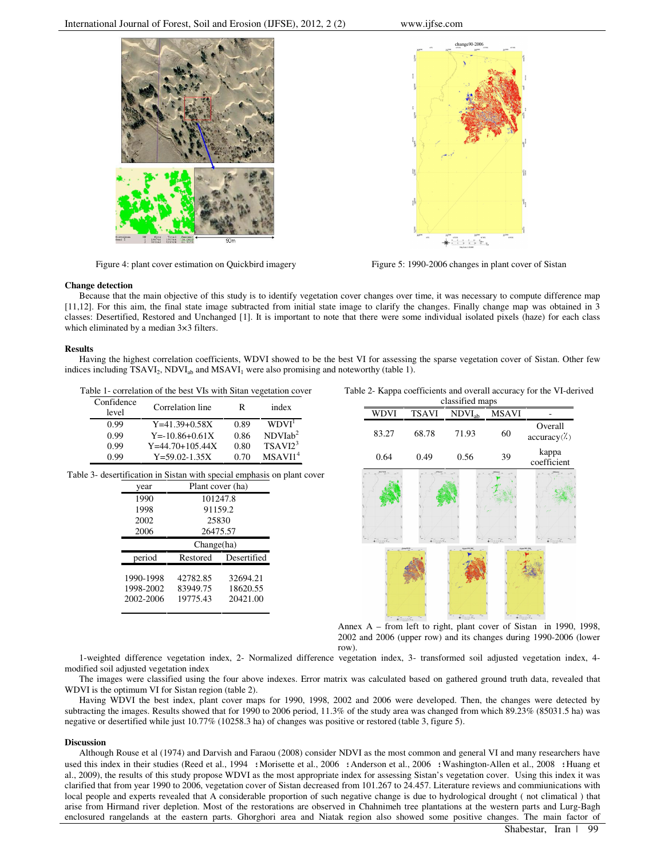

Figure 4: plant cover estimation on Quickbird imagery Figure 5: 1990-2006 changes in plant cover of Sistan



#### **Change detection**

Because that the main objective of this study is to identify vegetation cover changes over time, it was necessary to compute difference map [11,12]. For this aim, the final state image subtracted from initial state image to clarify the changes. Finally change map was obtained in 3 classes: Desertified, Restored and Unchanged [1]. It is important to note that there were some individual isolated pixels (haze) for each class which eliminated by a median  $3\times3$  filters.

# **Results**

Having the highest correlation coefficients, WDVI showed to be the best VI for assessing the sparse vegetation cover of Sistan. Other few indices including  $TSAVI_2$ ,  $NDVI_{ab}$  and  $MSAVI_1$  were also promising and noteworthy (table 1).

| Table 1- correlation of the best VIs with Sitan vegetation cover |  |  |  |
|------------------------------------------------------------------|--|--|--|
|                                                                  |  |  |  |

| Confidence<br>level | Correlation line     | R    | index               |
|---------------------|----------------------|------|---------------------|
| 0.99                | $Y = 41.39 + 0.58X$  | 0.89 | WDVI <sup>1</sup>   |
| 0.99                | $Y = -10.86 + 0.61X$ | 0.86 | NDVIab <sup>2</sup> |
| 0.99                | $Y=44.70+105.44X$    | 0.80 | TSAVI2 <sup>3</sup> |
| N 99                | $Y = 59.02 - 1.35X$  | 0 70 | MSAVII <sup>4</sup> |

Table 3- desertification in Sistan with special emphasis on plant cover

| year                   | Plant cover (ha)     |                      |  |  |  |
|------------------------|----------------------|----------------------|--|--|--|
| 1990                   | 101247.8             |                      |  |  |  |
| 1998                   | 91159.2              |                      |  |  |  |
| 2002                   | 25830                |                      |  |  |  |
| 2006                   | 26475.57             |                      |  |  |  |
|                        | Change(ha)           |                      |  |  |  |
| period                 | Restored             | Desertified          |  |  |  |
| 1990-1998<br>1998-2002 | 42782.85<br>83949.75 | 32694.21<br>18620.55 |  |  |  |

Table 2- Kappa coefficients and overall accuracy for the VI-derived



Annex A – from left to right, plant cover of Sistan in 1990, 1998, 2002 and 2006 (upper row) and its changes during 1990-2006 (lower row).

1-weighted difference vegetation index, 2- Normalized difference vegetation index, 3- transformed soil adjusted vegetation index, 4 modified soil adjusted vegetation index

The images were classified using the four above indexes. Error matrix was calculated based on gathered ground truth data, revealed that WDVI is the optimum VI for Sistan region (table 2).

Having WDVI the best index, plant cover maps for 1990, 1998, 2002 and 2006 were developed. Then, the changes were detected by subtracting the images. Results showed that for 1990 to 2006 period, 11.3% of the study area was changed from which 89.23% (85031.5 ha) was negative or desertified while just 10.77% (10258.3 ha) of changes was positive or restored (table 3, figure 5).

# **Discussion**

Although Rouse et al (1974) and Darvish and Faraou (2008) consider NDVI as the most common and general VI and many researchers have used this index in their studies (Reed et al., 1994 : Morisette et al., 2006 : Anderson et al., 2006 : Washington-Allen et al., 2008 : Huang et al., 2009), the results of this study propose WDVI as the most appropriate index for assessing Sistan's vegetation cover. Using this index it was clarified that from year 1990 to 2006, vegetation cover of Sistan decreased from 101.267 to 24.457. Literature reviews and commiunications with local people and experts revealed that A considerable proportion of such negative change is due to hydrological drought ( not climatical ) that arise from Hirmand river depletion. Most of the restorations are observed in Chahnimeh tree plantations at the western parts and Lurg-Bagh enclosured rangelands at the eastern parts. Ghorghori area and Niatak region also showed some positive changes. The main factor of